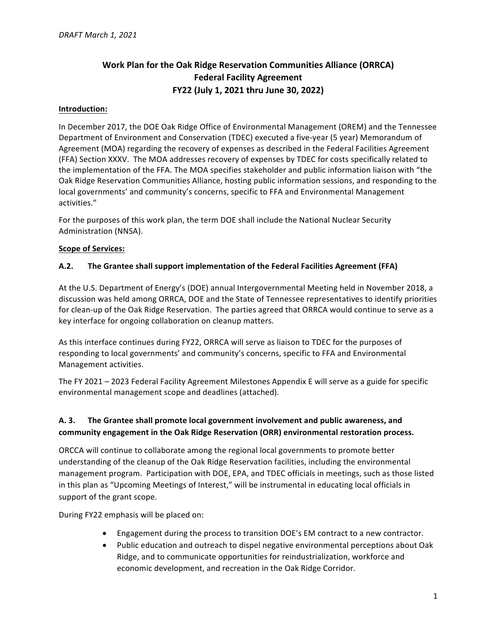# **Work Plan for the Oak Ridge Reservation Communities Alliance (ORRCA) Federal Facility Agreement FY22 (July 1, 2021 thru June 30, 2022)**

#### **Introduction:**

In December 2017, the DOE Oak Ridge Office of Environmental Management (OREM) and the Tennessee Department of Environment and Conservation (TDEC) executed a five-year (5 year) Memorandum of Agreement (MOA) regarding the recovery of expenses as described in the Federal Facilities Agreement (FFA) Section XXXV. The MOA addresses recovery of expenses by TDEC for costs specifically related to the implementation of the FFA. The MOA specifies stakeholder and public information liaison with "the Oak Ridge Reservation Communities Alliance, hosting public information sessions, and responding to the local governments' and community's concerns, specific to FFA and Environmental Management activities."

For the purposes of this work plan, the term DOE shall include the National Nuclear Security Administration (NNSA).

#### **Scope of Services:**

#### A.2. The Grantee shall support implementation of the Federal Facilities Agreement (FFA)

At the U.S. Department of Energy's (DOE) annual Intergovernmental Meeting held in November 2018, a discussion was held among ORRCA, DOE and the State of Tennessee representatives to identify priorities for clean-up of the Oak Ridge Reservation. The parties agreed that ORRCA would continue to serve as a key interface for ongoing collaboration on cleanup matters.

As this interface continues during FY22, ORRCA will serve as liaison to TDEC for the purposes of responding to local governments' and community's concerns, specific to FFA and Environmental Management activities.

The FY 2021 – 2023 Federal Facility Agreement Milestones Appendix E will serve as a guide for specific environmental management scope and deadlines (attached).

### A. 3. The Grantee shall promote local government involvement and public awareness, and community engagement in the Oak Ridge Reservation (ORR) environmental restoration process.

ORCCA will continue to collaborate among the regional local governments to promote better understanding of the cleanup of the Oak Ridge Reservation facilities, including the environmental management program. Participation with DOE, EPA, and TDEC officials in meetings, such as those listed in this plan as "Upcoming Meetings of Interest," will be instrumental in educating local officials in support of the grant scope.

During FY22 emphasis will be placed on:

- Engagement during the process to transition DOE's EM contract to a new contractor.
- Public education and outreach to dispel negative environmental perceptions about Oak Ridge, and to communicate opportunities for reindustrialization, workforce and economic development, and recreation in the Oak Ridge Corridor.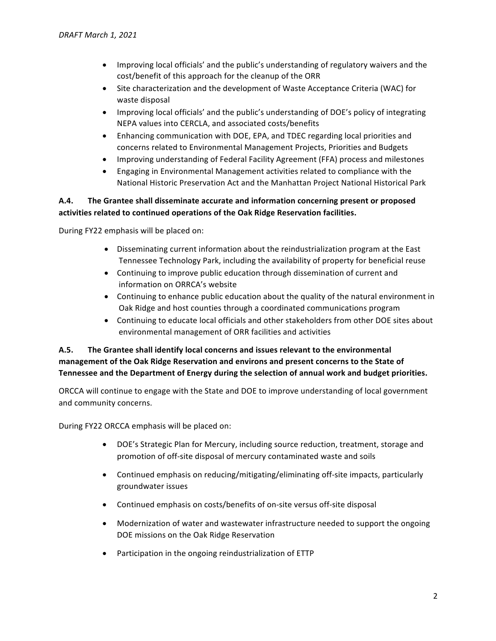- Improving local officials' and the public's understanding of regulatory waivers and the cost/benefit of this approach for the cleanup of the ORR
- Site characterization and the development of Waste Acceptance Criteria (WAC) for waste disposal
- Improving local officials' and the public's understanding of DOE's policy of integrating NEPA values into CERCLA, and associated costs/benefits
- Enhancing communication with DOE, EPA, and TDEC regarding local priorities and concerns related to Environmental Management Projects, Priorities and Budgets
- Improving understanding of Federal Facility Agreement (FFA) process and milestones
- Engaging in Environmental Management activities related to compliance with the National Historic Preservation Act and the Manhattan Project National Historical Park

## A.4. The Grantee shall disseminate accurate and information concerning present or proposed activities related to continued operations of the Oak Ridge Reservation facilities.

During FY22 emphasis will be placed on:

- Disseminating current information about the reindustrialization program at the East Tennessee Technology Park, including the availability of property for beneficial reuse
- Continuing to improve public education through dissemination of current and information on ORRCA's website
- Continuing to enhance public education about the quality of the natural environment in Oak Ridge and host counties through a coordinated communications program
- Continuing to educate local officials and other stakeholders from other DOE sites about environmental management of ORR facilities and activities

## A.5. The Grantee shall identify local concerns and issues relevant to the environmental management of the Oak Ridge Reservation and environs and present concerns to the State of Tennessee and the Department of Energy during the selection of annual work and budget priorities.

ORCCA will continue to engage with the State and DOE to improve understanding of local government and community concerns.

During FY22 ORCCA emphasis will be placed on:

- DOE's Strategic Plan for Mercury, including source reduction, treatment, storage and promotion of off-site disposal of mercury contaminated waste and soils
- Continued emphasis on reducing/mitigating/eliminating off-site impacts, particularly groundwater issues
- Continued emphasis on costs/benefits of on-site versus off-site disposal
- Modernization of water and wastewater infrastructure needed to support the ongoing DOE missions on the Oak Ridge Reservation
- Participation in the ongoing reindustrialization of ETTP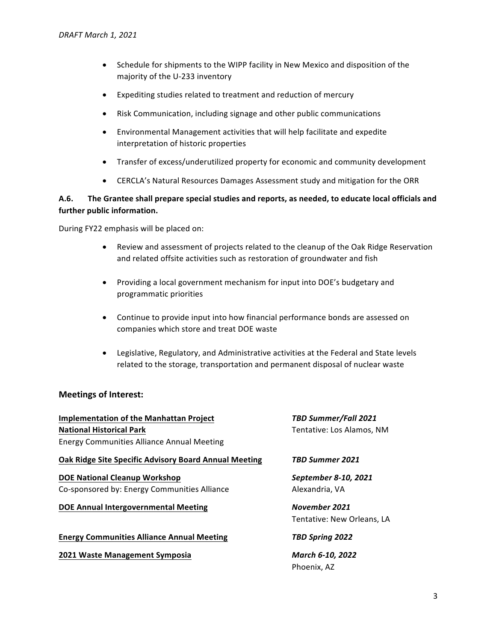- Schedule for shipments to the WIPP facility in New Mexico and disposition of the majority of the U-233 inventory
- Expediting studies related to treatment and reduction of mercury
- Risk Communication, including signage and other public communications
- Environmental Management activities that will help facilitate and expedite interpretation of historic properties
- Transfer of excess/underutilized property for economic and community development
- CERCLA's Natural Resources Damages Assessment study and mitigation for the ORR

### A.6. The Grantee shall prepare special studies and reports, as needed, to educate local officials and further public information.

During FY22 emphasis will be placed on:

- Review and assessment of projects related to the cleanup of the Oak Ridge Reservation and related offsite activities such as restoration of groundwater and fish
- Providing a local government mechanism for input into DOE's budgetary and programmatic priorities
- Continue to provide input into how financial performance bonds are assessed on companies which store and treat DOE waste
- Legislative, Regulatory, and Administrative activities at the Federal and State levels related to the storage, transportation and permanent disposal of nuclear waste

### **Meetings of Interest:**

| <b>Implementation of the Manhattan Project</b><br><b>National Historical Park</b> | TBD Summer/Fall 2021<br>Tentative: Los Alamos, NM |
|-----------------------------------------------------------------------------------|---------------------------------------------------|
| <b>Energy Communities Alliance Annual Meeting</b>                                 |                                                   |
| <b>Oak Ridge Site Specific Advisory Board Annual Meeting</b>                      | TBD Summer 2021                                   |
| <b>DOE National Cleanup Workshop</b>                                              | September 8-10, 2021                              |
| Co-sponsored by: Energy Communities Alliance                                      | Alexandria, VA                                    |
| <b>DOE Annual Intergovernmental Meeting</b>                                       | November 2021                                     |
|                                                                                   | Tentative: New Orleans, LA                        |
| <b>Energy Communities Alliance Annual Meeting</b>                                 | TBD Spring 2022                                   |
| 2021 Waste Management Symposia                                                    | March 6-10, 2022                                  |
|                                                                                   | Phoenix, AZ                                       |